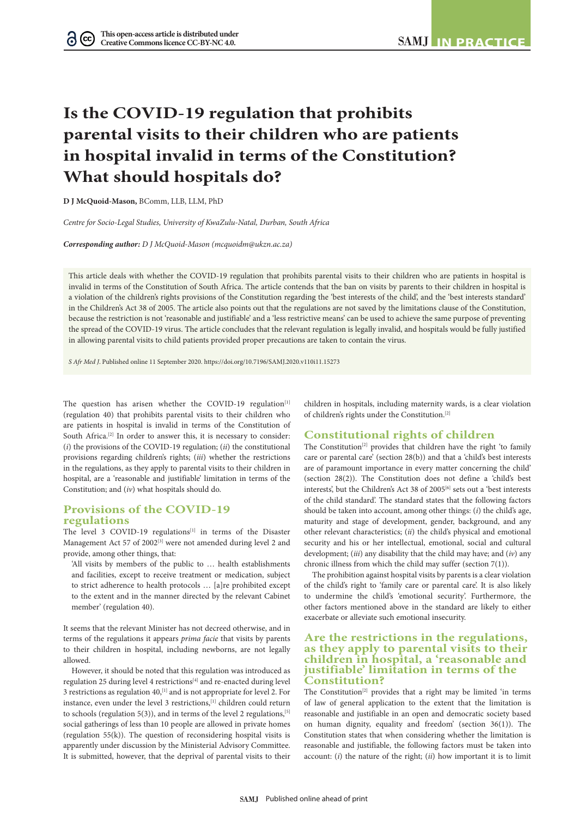# **Is the COVID-19 regulation that prohibits parental visits to their children who are patients in hospital invalid in terms of the Constitution? What should hospitals do?**

**D J McQuoid-Mason,** BComm, LLB, LLM, PhD

*Centre for Socio-Legal Studies, University of KwaZulu-Natal, Durban, South Africa*

*Corresponding author: D J McQuoid-Mason (mcquoidm@ukzn.ac.za)*

This article deals with whether the COVID-19 regulation that prohibits parental visits to their children who are patients in hospital is invalid in terms of the Constitution of South Africa. The article contends that the ban on visits by parents to their children in hospital is a violation of the children's rights provisions of the Constitution regarding the 'best interests of the child', and the 'best interests standard' in the Children's Act 38 of 2005. The article also points out that the regulations are not saved by the limitations clause of the Constitution, because the restriction is not 'reasonable and justifiable' and a 'less restrictive means' can be used to achieve the same purpose of preventing the spread of the COVID-19 virus. The article concludes that the relevant regulation is legally invalid, and hospitals would be fully justified in allowing parental visits to child patients provided proper precautions are taken to contain the virus.

*S Afr Med J*. Published online 11 September 2020. https://doi.org/10.7196/SAMJ.2020.v110i11.15273

The question has arisen whether the COVID-19 regulation $[1]$ (regulation 40) that prohibits parental visits to their children who are patients in hospital is invalid in terms of the Constitution of South Africa.<sup>[2]</sup> In order to answer this, it is necessary to consider: (*i*) the provisions of the COVID-19 regulation; (*ii*) the constitutional provisions regarding children's rights; (*iii*) whether the restrictions in the regulations, as they apply to parental visits to their children in hospital, are a 'reasonable and justifiable' limitation in terms of the Constitution; and (*iv*) what hospitals should do.

### **Provisions of the COVID-19 regulations**

The level 3 COVID-19 regulations<sup>[1]</sup> in terms of the Disaster Management Act 57 of 2002<sup>[3]</sup> were not amended during level 2 and provide, among other things, that:

'All visits by members of the public to … health establishments and facilities, except to receive treatment or medication, subject to strict adherence to health protocols … [a]re prohibited except to the extent and in the manner directed by the relevant Cabinet member' (regulation 40).

It seems that the relevant Minister has not decreed otherwise, and in terms of the regulations it appears *prima facie* that visits by parents to their children in hospital, including newborns, are not legally allowed.

However, it should be noted that this regulation was introduced as regulation 25 during level 4 restrictions<sup>[4]</sup> and re-enacted during level 3 restrictions as regulation 40,<sup>[1]</sup> and is not appropriate for level 2. For instance, even under the level 3 restrictions,<sup>[1]</sup> children could return to schools (regulation 5(3)), and in terms of the level 2 regulations,  $[5]$ social gatherings of less than 10 people are allowed in private homes (regulation 55(k)). The question of reconsidering hospital visits is apparently under discussion by the Ministerial Advisory Committee. It is submitted, however, that the deprival of parental visits to their

children in hospitals, including maternity wards, is a clear violation of children's rights under the Constitution.[2]

## **Constitutional rights of children**

The Constitution<sup>[2]</sup> provides that children have the right 'to family care or parental care' (section 28(b)) and that a 'child's best interests are of paramount importance in every matter concerning the child' (section 28(2)). The Constitution does not define a 'child's best interests', but the Children's Act 38 of 2005<sup>[6]</sup> sets out a 'best interests of the child standard'. The standard states that the following factors should be taken into account, among other things: (*i*) the child's age, maturity and stage of development, gender, background, and any other relevant characteristics; (*ii*) the child's physical and emotional security and his or her intellectual, emotional, social and cultural development; (*iii*) any disability that the child may have; and (*iv*) any chronic illness from which the child may suffer (section 7(1)).

The prohibition against hospital visits by parents is a clear violation of the child's right to 'family care or parental care'. It is also likely to undermine the child's 'emotional security'. Furthermore, the other factors mentioned above in the standard are likely to either exacerbate or alleviate such emotional insecurity.

#### **Are the restrictions in the regulations, as they apply to parental visits to their children in hospital, a 'reasonable and justifiable' limitation in terms of the Constitution?**

The Constitution<sup>[2]</sup> provides that a right may be limited 'in terms of law of general application to the extent that the limitation is reasonable and justifiable in an open and democratic society based on human dignity, equality and freedom' (section 36(1)). The Constitution states that when considering whether the limitation is reasonable and justifiable, the following factors must be taken into account: (*i*) the nature of the right; (*ii*) how important it is to limit